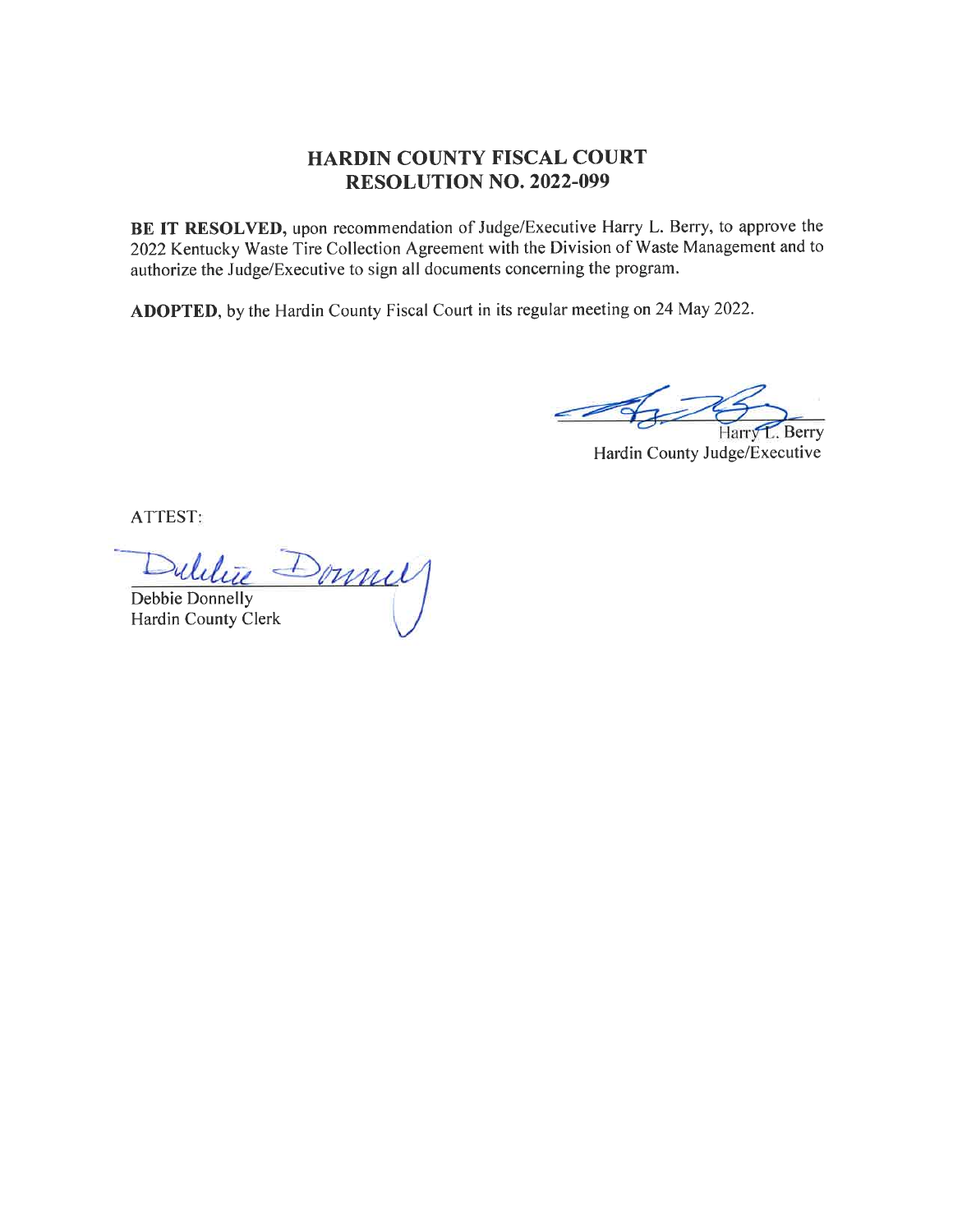## HARDIN COUNTY FISCAL COURT RESOLUTION NO. 2022.099

BE IT RESOLVED, upon recommendation of Judge/Executive Harry L. Berry, to approve the 2022Kentucky Waste Tire Collection Agreement with the Division of Waste Management and to authorize the Judge/Executive to sign all documents concerning the program.

ADOPTED, by the Hardin County Fiscal Court in its regular meeting on 24 May 2022.

Berry Harr

Hardin County Judge/Executive

ATTEST

Donnel

Debbie Donnelly Hardin County Clerk